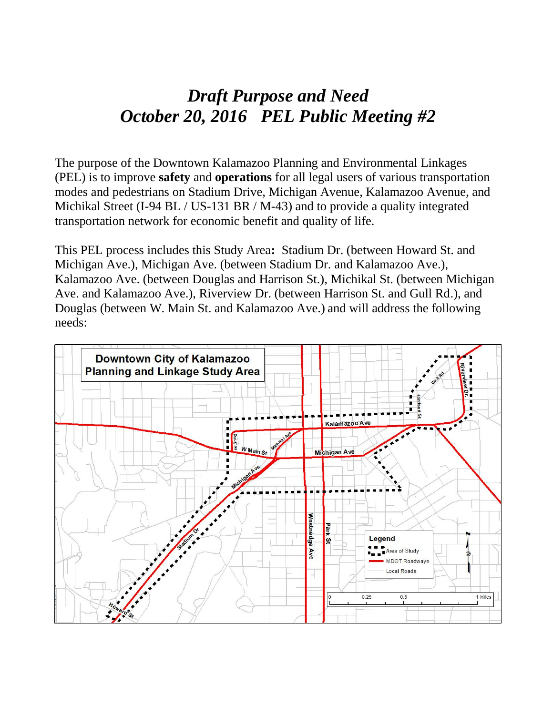# *Draft Purpose and Need October 20, 2016 PEL Public Meeting #2*

The purpose of the Downtown Kalamazoo Planning and Environmental Linkages (PEL) is to improve **safety** and **operations** for all legal users of various transportation modes and pedestrians on Stadium Drive, Michigan Avenue, Kalamazoo Avenue, and Michikal Street (I-94 BL / US-131 BR / M-43) and to provide a quality integrated transportation network for economic benefit and quality of life.

This PEL process includes this Study Area**:** Stadium Dr. (between Howard St. and Michigan Ave.), Michigan Ave. (between Stadium Dr. and Kalamazoo Ave.), Kalamazoo Ave. (between Douglas and Harrison St.), Michikal St. (between Michigan Ave. and Kalamazoo Ave.), Riverview Dr. (between Harrison St. and Gull Rd.), and Douglas (between W. Main St. and Kalamazoo Ave.) and will address the following needs:

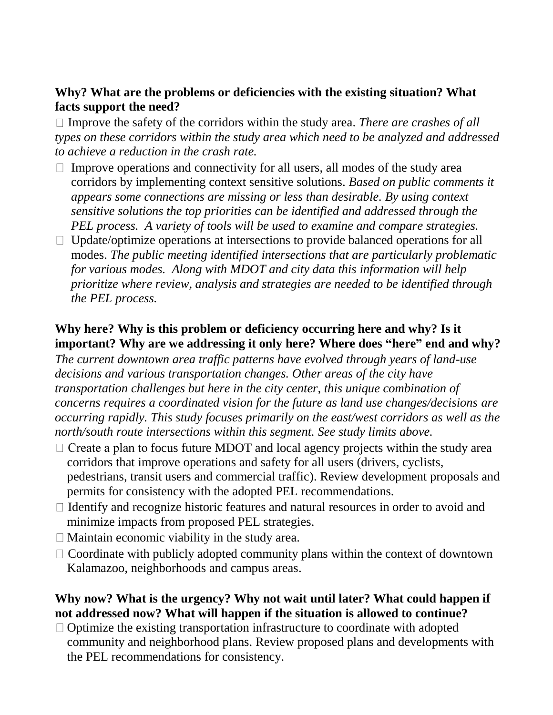#### **Why? What are the problems or deficiencies with the existing situation? What facts support the need?**

 $\Box$  Improve the safety of the corridors within the study area. *There are crashes of all types on these corridors within the study area which need to be analyzed and addressed to achieve a reduction in the crash rate.*

- $\Box$  Improve operations and connectivity for all users, all modes of the study area corridors by implementing context sensitive solutions. *Based on public comments it appears some connections are missing or less than desirable. By using context sensitive solutions the top priorities can be identified and addressed through the PEL process. A variety of tools will be used to examine and compare strategies.*
- $\Box$  Update/optimize operations at intersections to provide balanced operations for all modes. *The public meeting identified intersections that are particularly problematic for various modes. Along with MDOT and city data this information will help prioritize where review, analysis and strategies are needed to be identified through the PEL process.*

#### **Why here? Why is this problem or deficiency occurring here and why? Is it important? Why are we addressing it only here? Where does "here" end and why?**

*The current downtown area traffic patterns have evolved through years of land-use decisions and various transportation changes. Other areas of the city have transportation challenges but here in the city center, this unique combination of concerns requires a coordinated vision for the future as land use changes/decisions are occurring rapidly. This study focuses primarily on the east/west corridors as well as the north/south route intersections within this segment. See study limits above.*

- $\Box$  Create a plan to focus future MDOT and local agency projects within the study area corridors that improve operations and safety for all users (drivers, cyclists, pedestrians, transit users and commercial traffic). Review development proposals and permits for consistency with the adopted PEL recommendations.
- $\Box$  Identify and recognize historic features and natural resources in order to avoid and minimize impacts from proposed PEL strategies.
- $\Box$  Maintain economic viability in the study area.
- $\Box$  Coordinate with publicly adopted community plans within the context of downtown Kalamazoo, neighborhoods and campus areas.

## **Why now? What is the urgency? Why not wait until later? What could happen if not addressed now? What will happen if the situation is allowed to continue?**

 $\Box$  Optimize the existing transportation infrastructure to coordinate with adopted community and neighborhood plans. Review proposed plans and developments with the PEL recommendations for consistency.